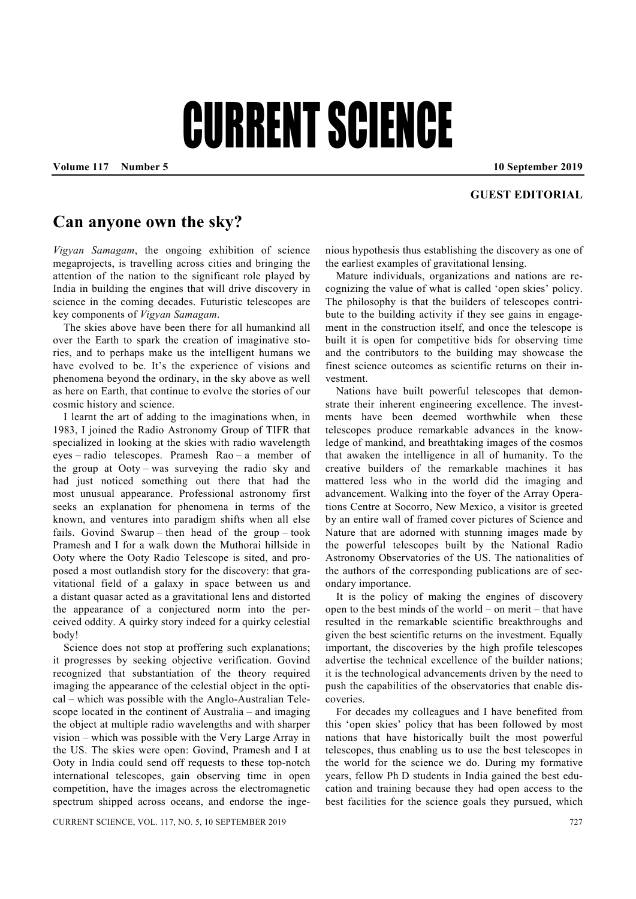## CURRENT SCIENCE

Volume 117 **Number 5** 10 September 2019

## **GUEST EDITORIAL**

## **Can anyone own the sky?**

*Vigyan Samagam*, the ongoing exhibition of science megaprojects, is travelling across cities and bringing the attention of the nation to the significant role played by India in building the engines that will drive discovery in science in the coming decades. Futuristic telescopes are key components of *Vigyan Samagam*.

 The skies above have been there for all humankind all over the Earth to spark the creation of imaginative stories, and to perhaps make us the intelligent humans we have evolved to be. It's the experience of visions and phenomena beyond the ordinary, in the sky above as well as here on Earth, that continue to evolve the stories of our cosmic history and science.

 I learnt the art of adding to the imaginations when, in 1983, I joined the Radio Astronomy Group of TIFR that specialized in looking at the skies with radio wavelength eyes – radio telescopes. Pramesh Rao – a member of the group at Ooty – was surveying the radio sky and had just noticed something out there that had the most unusual appearance. Professional astronomy first seeks an explanation for phenomena in terms of the known, and ventures into paradigm shifts when all else fails. Govind Swarup – then head of the group – took Pramesh and I for a walk down the Muthorai hillside in Ooty where the Ooty Radio Telescope is sited, and proposed a most outlandish story for the discovery: that gravitational field of a galaxy in space between us and a distant quasar acted as a gravitational lens and distorted the appearance of a conjectured norm into the perceived oddity. A quirky story indeed for a quirky celestial body!

Science does not stop at proffering such explanations; it progresses by seeking objective verification. Govind recognized that substantiation of the theory required imaging the appearance of the celestial object in the optical – which was possible with the Anglo-Australian Telescope located in the continent of Australia – and imaging the object at multiple radio wavelengths and with sharper vision – which was possible with the Very Large Array in the US. The skies were open: Govind, Pramesh and I at Ooty in India could send off requests to these top-notch international telescopes, gain observing time in open competition, have the images across the electromagnetic spectrum shipped across oceans, and endorse the ingenious hypothesis thus establishing the discovery as one of the earliest examples of gravitational lensing.

 Mature individuals, organizations and nations are recognizing the value of what is called 'open skies' policy. The philosophy is that the builders of telescopes contribute to the building activity if they see gains in engagement in the construction itself, and once the telescope is built it is open for competitive bids for observing time and the contributors to the building may showcase the finest science outcomes as scientific returns on their investment.

 Nations have built powerful telescopes that demonstrate their inherent engineering excellence. The investments have been deemed worthwhile when these telescopes produce remarkable advances in the knowledge of mankind, and breathtaking images of the cosmos that awaken the intelligence in all of humanity. To the creative builders of the remarkable machines it has mattered less who in the world did the imaging and advancement. Walking into the foyer of the Array Operations Centre at Socorro, New Mexico, a visitor is greeted by an entire wall of framed cover pictures of Science and Nature that are adorned with stunning images made by the powerful telescopes built by the National Radio Astronomy Observatories of the US. The nationalities of the authors of the corresponding publications are of secondary importance.

 It is the policy of making the engines of discovery open to the best minds of the world – on merit – that have resulted in the remarkable scientific breakthroughs and given the best scientific returns on the investment. Equally important, the discoveries by the high profile telescopes advertise the technical excellence of the builder nations; it is the technological advancements driven by the need to push the capabilities of the observatories that enable discoveries.

 For decades my colleagues and I have benefited from this 'open skies' policy that has been followed by most nations that have historically built the most powerful telescopes, thus enabling us to use the best telescopes in the world for the science we do. During my formative years, fellow Ph D students in India gained the best education and training because they had open access to the best facilities for the science goals they pursued, which